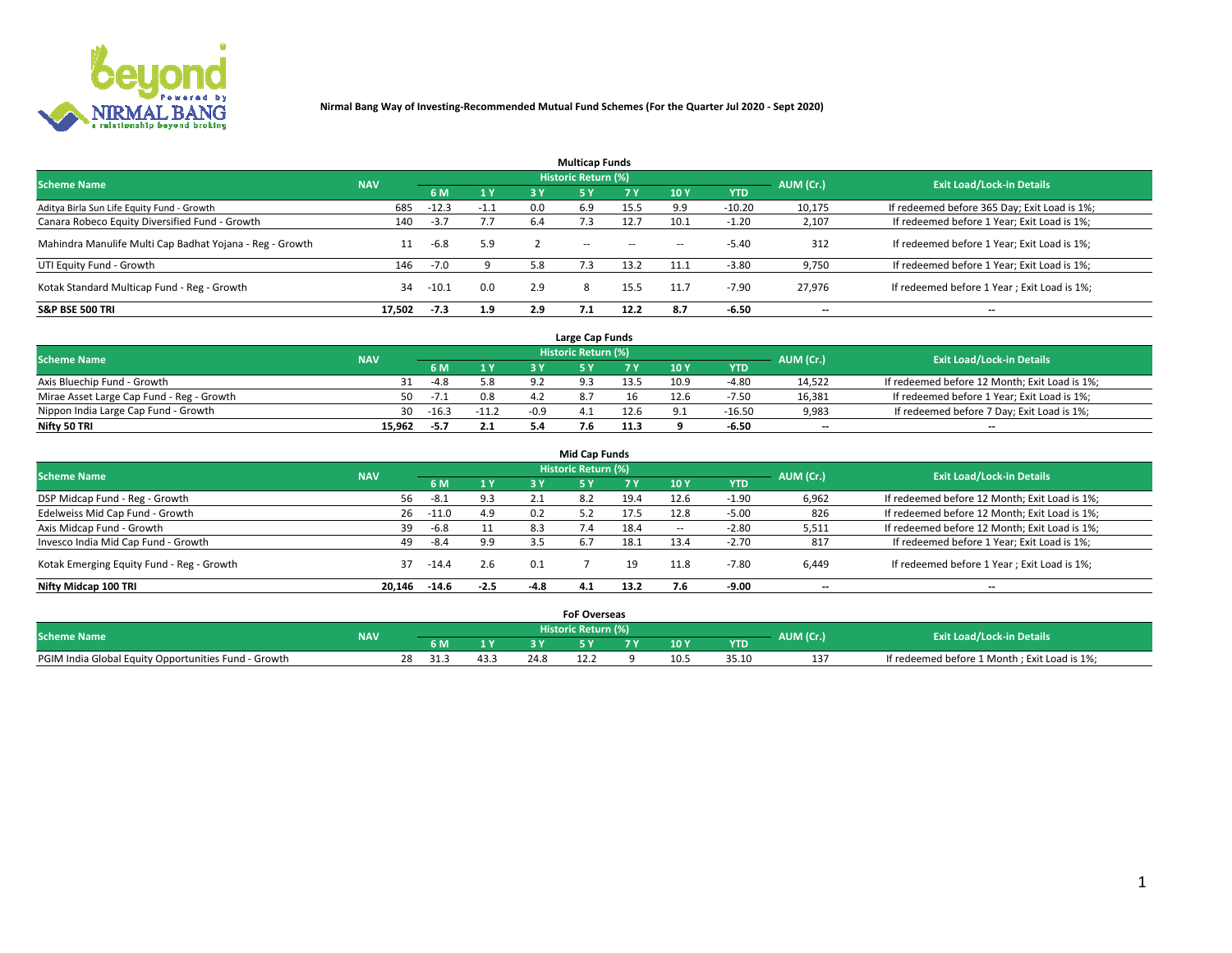

|                                                          |            |         |        |     | <b>Multicap Funds</b> |           |                          |            |           |                                              |
|----------------------------------------------------------|------------|---------|--------|-----|-----------------------|-----------|--------------------------|------------|-----------|----------------------------------------------|
| <b>Scheme Name</b>                                       | <b>NAV</b> |         |        |     | Historic Return (%)   |           |                          |            | AUM (Cr.) | <b>Exit Load/Lock-in Details</b>             |
|                                                          |            | 6 M     | 1 Y    | 3 Y | <b>5Y</b>             | <b>7Y</b> | 10Y                      | <b>YTD</b> |           |                                              |
| Aditya Birla Sun Life Equity Fund - Growth               | 685        | $-12.3$ | $-1.1$ | 0.0 | 6.9                   | 15.5      | 9.9                      | $-10.20$   | 10,175    | If redeemed before 365 Day; Exit Load is 1%; |
| Canara Robeco Equity Diversified Fund - Growth           | 140        | $-3.7$  | 7.7    | 6.4 |                       | 12.7      | 10.1                     | $-1.20$    | 2,107     | If redeemed before 1 Year; Exit Load is 1%;  |
| Mahindra Manulife Multi Cap Badhat Yojana - Reg - Growth | 11         | -6.8    | 5.9    |     | $\sim$ $-$            | $\sim$    | $\overline{\phantom{a}}$ | $-5.40$    | 312       | If redeemed before 1 Year; Exit Load is 1%;  |
| UTI Equity Fund - Growth                                 | 146        | $-7.0$  |        | 5.8 |                       | 13.2      | 11.1                     | $-3.80$    | 9,750     | If redeemed before 1 Year; Exit Load is 1%;  |
| Kotak Standard Multicap Fund - Reg - Growth              | 34         | $-10.1$ | 0.0    | 2.9 | 8                     | 15.5      | 11.7                     | $-7.90$    | 27.976    | If redeemed before 1 Year; Exit Load is 1%;  |
| <b>S&amp;P BSE 500 TRI</b>                               | 17.502     | $-7.3$  | 1.9    | 2.9 |                       | 12.2      | 8.7                      | $-6.50$    | --        | $- -$                                        |

|                                           |            |         |                       |        | Large Cap Funds     |      |      |            |                          |                                               |
|-------------------------------------------|------------|---------|-----------------------|--------|---------------------|------|------|------------|--------------------------|-----------------------------------------------|
| <b>Scheme Name</b>                        | <b>NAV</b> |         |                       |        | Historic Return (%) |      |      |            | AUM (Cr.)                | <b>Exit Load/Lock-in Details</b>              |
|                                           |            |         | $\sqrt{1}$ $\sqrt{2}$ |        |                     |      | 10 Y | <b>YTD</b> |                          |                                               |
| Axis Bluechip Fund - Growth               |            | $-4.8$  | 5.8                   |        |                     | 13.5 | 10.9 | $-4.8C$    | 14,522                   | If redeemed before 12 Month; Exit Load is 1%; |
| Mirae Asset Large Cap Fund - Reg - Growth | 50.        | $-7.1$  | 0.8                   |        |                     |      | 12.6 | $-7.5C$    | 16,381                   | If redeemed before 1 Year; Exit Load is 1%;   |
| Nippon India Large Cap Fund - Growth      | 30         | $-16.3$ | $-11.2$               | $-0.9$ |                     | 12.6 |      | $-16.50$   | 9,983                    | If redeemed before 7 Day; Exit Load is 1%;    |
| Nifty 50 TRI                              | 15.962     | -5.7    | 2.1                   |        |                     | 11.3 |      | -6.50      | $\overline{\phantom{a}}$ | $- -$                                         |

|                                           |            |         |        |      | <b>Mid Cap Funds</b> |      |                          |            |                          |                                               |
|-------------------------------------------|------------|---------|--------|------|----------------------|------|--------------------------|------------|--------------------------|-----------------------------------------------|
| <b>Scheme Name</b>                        | <b>NAV</b> |         |        |      | Historic Return (%)  |      |                          |            | AUM (Cr.)                | <b>Exit Load/Lock-in Details</b>              |
|                                           |            | 6 M     | 1 Y    | 3 Y  |                      | 7 Y  | 10Y                      | <b>YTD</b> |                          |                                               |
| DSP Midcap Fund - Reg - Growth            | 56         | $-8.1$  | 9.3    | 2.1  | 8.2                  | 19.4 | 12.6                     | $-1.90$    | 6,962                    | If redeemed before 12 Month; Exit Load is 1%; |
| Edelweiss Mid Cap Fund - Growth           | 26         | -11.0   | 4.9    | 0.2  | 5.2                  | 17.5 | 12.8                     | $-5.00$    | 826                      | If redeemed before 12 Month; Exit Load is 1%; |
| Axis Midcap Fund - Growth                 | 39         | $-6.8$  | 11     | 8.3  | 7.4                  | 18.4 | $\overline{\phantom{a}}$ | $-2.80$    | 5,511                    | If redeemed before 12 Month; Exit Load is 1%; |
| Invesco India Mid Cap Fund - Growth       | 49         | -8.4    | 9.9    |      | -6.7                 | 18.1 | 13.4                     | $-2.70$    | 817                      | If redeemed before 1 Year; Exit Load is 1%;   |
| Kotak Emerging Equity Fund - Reg - Growth | 37         | -14.4   | 2.6    | 0.1  |                      | 19   | 11.8                     | $-7.80$    | 6,449                    | If redeemed before 1 Year; Exit Load is 1%;   |
| Nifty Midcap 100 TRI                      | 20.146     | $-14.6$ | $-2.5$ | -4.8 | 4.1                  | 13.2 |                          | -9.00      | $\overline{\phantom{a}}$ | $- -$                                         |

|                                                      |            |            |      |      | <b>FoF Overseas</b>        |     |            |           |                                              |
|------------------------------------------------------|------------|------------|------|------|----------------------------|-----|------------|-----------|----------------------------------------------|
| <b>Scheme Name</b>                                   | <b>NAV</b> |            |      |      | <b>Historic Return (%)</b> |     |            | AUM (Cr.) | <b>Exit Load/Lock-in Details</b>             |
|                                                      |            | 6 M        |      |      |                            | 10Y | <b>YTD</b> |           |                                              |
| PGIM India Global Equity Opportunities Fund - Growth |            | 28<br>31.3 | 43.3 | 24.8 |                            |     | 35.10      |           | If redeemed before 1 Month; Exit Load is 1%; |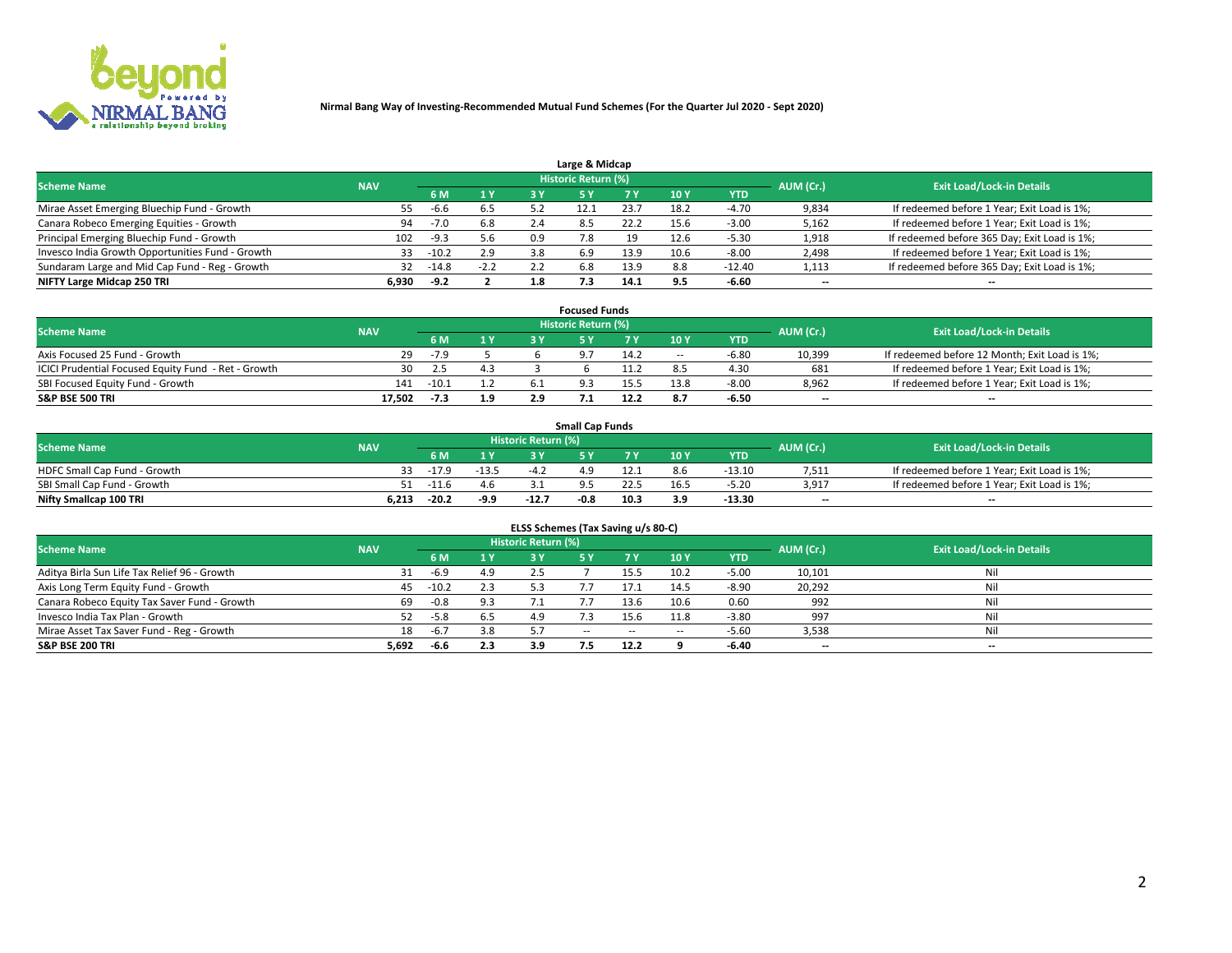

| Large & Midcap                                   |            |         |        |     |                            |      |      |          |                          |                                              |  |  |  |
|--------------------------------------------------|------------|---------|--------|-----|----------------------------|------|------|----------|--------------------------|----------------------------------------------|--|--|--|
| <b>Scheme Name</b>                               | <b>NAV</b> |         |        |     | <b>Historic Return (%)</b> |      |      |          | AUM (Cr.)                | <b>Exit Load/Lock-in Details</b>             |  |  |  |
|                                                  |            | 6 M     | 1Y     | 3 Y |                            | 7 V  | 10Y  | YTD      |                          |                                              |  |  |  |
| Mirae Asset Emerging Bluechip Fund - Growth      | 55         | -6.6    | 6.5    |     |                            | 23.7 | 18.2 | -4.70    | 9,834                    | If redeemed before 1 Year; Exit Load is 1%;  |  |  |  |
| Canara Robeco Emerging Equities - Growth         | 94         | $-7.0$  | 6.8    | 2.4 | 8.5                        | 22.2 | 15.6 | $-3.00$  | 5,162                    | If redeemed before 1 Year; Exit Load is 1%;  |  |  |  |
| Principal Emerging Bluechip Fund - Growth        | 102        | $-9.3$  | 5.6    | 0.9 |                            | 19   | 12.6 | $-5.30$  | 1,918                    | If redeemed before 365 Day; Exit Load is 1%; |  |  |  |
| Invesco India Growth Opportunities Fund - Growth |            | $-10.2$ | 2.9    | 3.8 | 6.9                        | 13.9 | 10.6 | $-8.00$  | 2,498                    | If redeemed before 1 Year; Exit Load is 1%;  |  |  |  |
| Sundaram Large and Mid Cap Fund - Reg - Growth   | 32         | -14.8   | $-2.2$ | 2.2 | 6.8                        | 13.9 | 8.8  | $-12.40$ | 1,113                    | If redeemed before 365 Day; Exit Load is 1%; |  |  |  |
| NIFTY Large Midcap 250 TRI                       | 6.930      | $-9.2$  |        | 1.8 |                            | 14.1 |      | $-6.60$  | $\overline{\phantom{a}}$ | $- -$                                        |  |  |  |

|                                                     |            |         |                | <b>Focused Funds</b>       |      |                          |            |                          |                                               |
|-----------------------------------------------------|------------|---------|----------------|----------------------------|------|--------------------------|------------|--------------------------|-----------------------------------------------|
| <b>Scheme Name</b>                                  | <b>NAV</b> |         |                | <b>Historic Return (%)</b> |      |                          |            | AUM (Cr.)                | <b>Exit Load/Lock-in Details</b>              |
|                                                     |            | 6 M     | 1 <sub>Y</sub> |                            |      | 10Y                      | <b>YTD</b> |                          |                                               |
| Axis Focused 25 Fund - Growth                       | 29         | $-7.9$  |                |                            | 14.2 | $\overline{\phantom{a}}$ | $-6.8c$    | 10,399                   | If redeemed before 12 Month; Exit Load is 1%; |
| ICICI Prudential Focused Equity Fund - Ret - Growth | 30         | 2.5     | 4.3            |                            |      |                          | 4.30       | 681                      | If redeemed before 1 Year; Exit Load is 1%;   |
| SBI Focused Equity Fund - Growth                    | 141        | $-10.1$ |                |                            |      | 13.8                     | $-8.00$    | 8,962                    | If redeemed before 1 Year; Exit Load is 1%;   |
| <b>S&amp;P BSE 500 TRI</b>                          | 17.502     | $-7.3$  | 1.9            |                            | 12.2 |                          | $-6.50$    | $\overline{\phantom{a}}$ | $- -$                                         |

| <b>Small Cap Funds</b>       |            |                                  |         |         |      |      |                 |            |       |                                             |  |  |
|------------------------------|------------|----------------------------------|---------|---------|------|------|-----------------|------------|-------|---------------------------------------------|--|--|
| <b>Scheme Name</b>           | <b>NAV</b> | Historic Return (%)<br>AUM (Cr.) |         |         |      |      |                 |            |       | <b>Exit Load/Lock-in Details</b>            |  |  |
|                              |            | 6 M                              | 1 Y     |         |      |      | 10 <sub>Y</sub> | <b>YTD</b> |       |                                             |  |  |
| HDFC Small Cap Fund - Growth |            | $-17.9$                          | $-13.5$ |         | 49   |      | 8.6             | $-13.10$   | 7,511 | If redeemed before 1 Year; Exit Load is 1%; |  |  |
| SBI Small Cap Fund - Growth  | 51         | -11.6                            | 4.6     |         |      |      |                 | $-5.20$    | 3.917 | If redeemed before 1 Year; Exit Load is 1%; |  |  |
| Nifty Smallcap 100 TRI       | 6.213      | $-20.2$                          | $-9.9$  | $-12.7$ | -0.8 | 10.3 | 3.9             | $-13.30$   | $- -$ | $- -$                                       |  |  |

| ELSS Schemes (Tax Saving u/s 80-C)           |            |         |     |                     |            |        |        |         |           |                                  |  |  |  |
|----------------------------------------------|------------|---------|-----|---------------------|------------|--------|--------|---------|-----------|----------------------------------|--|--|--|
| <b>Scheme Name</b>                           | <b>NAV</b> |         |     | Historic Return (%) |            |        |        |         | AUM (Cr.) | <b>Exit Load/Lock-in Details</b> |  |  |  |
|                                              |            | 6 M     | 1 Y |                     | s v        | 7 Y    | 10 Y   | YTD     |           |                                  |  |  |  |
| Aditya Birla Sun Life Tax Relief 96 - Growth | 31         | -6.9    | 4.9 |                     |            | 15.5   | 10.2   | $-5.00$ | 10,101    | Nil                              |  |  |  |
| Axis Long Term Equity Fund - Growth          | 45         | $-10.2$ | 2.3 |                     |            | 17.1   | 14.5   | $-8.90$ | 20,292    | Nil                              |  |  |  |
| Canara Robeco Equity Tax Saver Fund - Growth | 69         | $-0.8$  | 9.3 |                     |            | 13.6   | 10.6   | 0.60    | 992       | Nil                              |  |  |  |
| Invesco India Tax Plan - Growth              | 52         | $-5.8$  | 6.5 | 4.9                 | $\cdot$ 3  | 15.6   | 11.8   | $-3.80$ | 997       | Nil                              |  |  |  |
| Mirae Asset Tax Saver Fund - Reg - Growth    | 18         | $-6.7$  | 3.8 | 5.7                 | $\sim$ $-$ | $\sim$ | $\sim$ | $-5.60$ | 3,538     | Nil                              |  |  |  |
| S&P BSE 200 TRI                              | 5,692      | $-6.6$  | 2.3 | 3.9                 | 7.5        | 12.2   |        | -6.40   | --        | $- -$                            |  |  |  |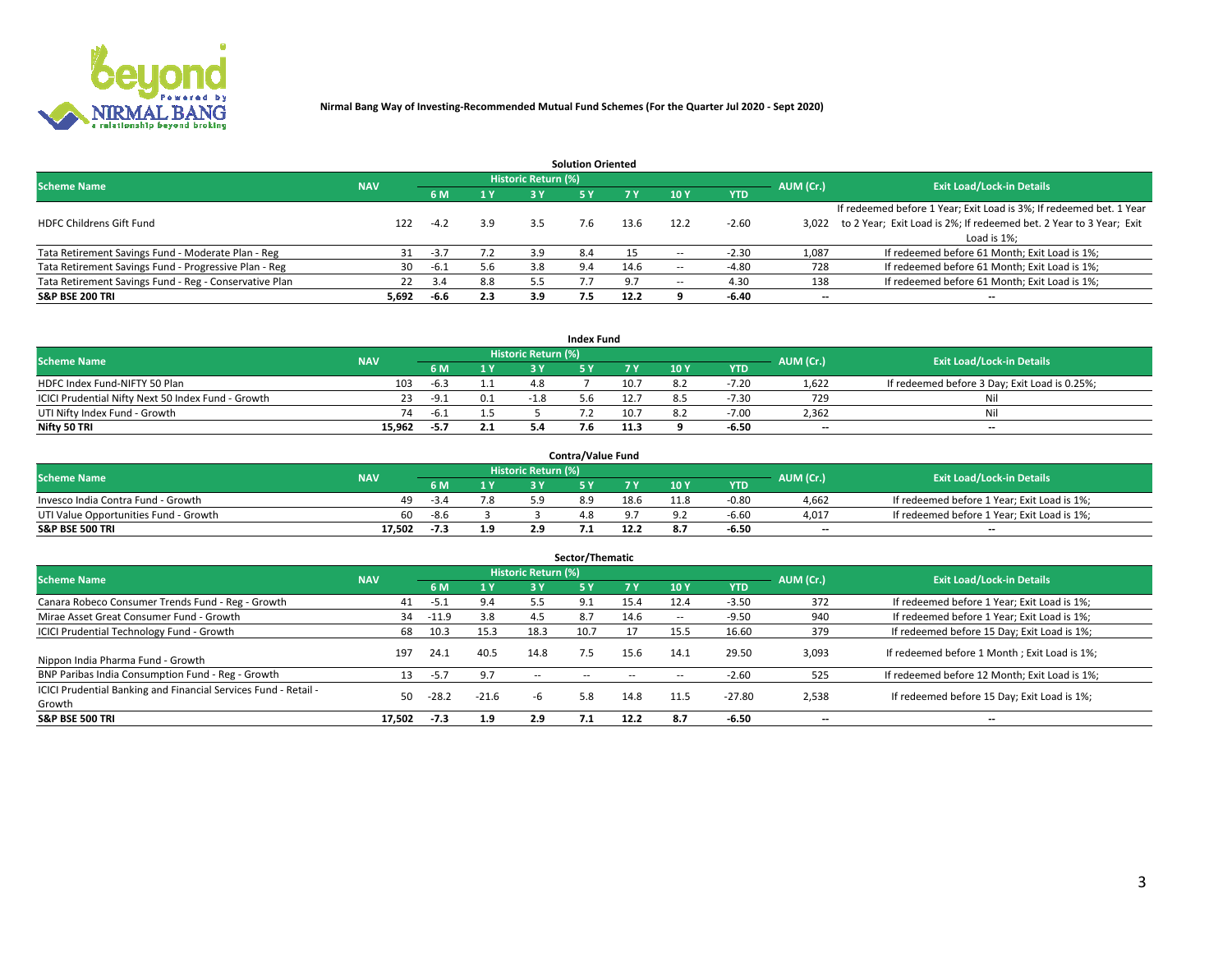

|                                                        |            |            |     |                            | <b>Solution Oriented</b> |      |                          |            |                          |                                                                     |
|--------------------------------------------------------|------------|------------|-----|----------------------------|--------------------------|------|--------------------------|------------|--------------------------|---------------------------------------------------------------------|
| <b>Scheme Name</b>                                     | <b>NAV</b> |            |     | <b>Historic Return (%)</b> |                          |      |                          |            | AUM (Cr.)                | <b>Exit Load/Lock-in Details</b>                                    |
|                                                        |            | <b>6 M</b> | 1 Y | 3 Y                        |                          |      | 10Y                      | <b>YTD</b> |                          |                                                                     |
|                                                        |            |            |     |                            |                          |      |                          |            |                          | If redeemed before 1 Year; Exit Load is 3%; If redeemed bet. 1 Year |
| <b>HDFC Childrens Gift Fund</b>                        | 122        | $-4.2$     | 3.9 | 3.5                        | 7.6                      | 13.6 | 12.2                     | $-2.60$    | 3.022                    | to 2 Year; Exit Load is 2%; If redeemed bet. 2 Year to 3 Year; Exit |
|                                                        |            |            |     |                            |                          |      |                          |            |                          | Load is 1%;                                                         |
| Tata Retirement Savings Fund - Moderate Plan - Reg     | 31         | $-3.7$     | 7.2 | 3.9                        | 8.4                      |      | --                       | $-2.30$    | 1,087                    | If redeemed before 61 Month; Exit Load is 1%;                       |
| Tata Retirement Savings Fund - Progressive Plan - Reg  | 30         | -6.1       | 5.6 | 3.8                        | 9.4                      | 14.6 | $\overline{\phantom{a}}$ | $-4.80$    | 728                      | If redeemed before 61 Month; Exit Load is 1%;                       |
| Tata Retirement Savings Fund - Reg - Conservative Plan | 22         | 3.4        | 8.8 | 5.5                        |                          |      | --                       | 4.30       | 138                      | If redeemed before 61 Month; Exit Load is 1%;                       |
| S&P BSE 200 TRI                                        | 5,692      | -6.6       | 2.3 | 3.9                        | 7.5                      | 12.2 |                          | $-6.40$    | $\overline{\phantom{a}}$ | $- -$                                                               |

|                                                    |            |      |     |                     | <b>Index Fund</b> |      |      |            |                          |                                               |
|----------------------------------------------------|------------|------|-----|---------------------|-------------------|------|------|------------|--------------------------|-----------------------------------------------|
| <b>Scheme Name</b>                                 | <b>NAV</b> |      |     | Historic Return (%) |                   |      |      |            | AUM (Cr.)                | <b>Exit Load/Lock-in Details</b>              |
|                                                    |            | 6 M  | 1 Y | 2 V                 |                   |      | 10 Y | <b>YTD</b> |                          |                                               |
| HDFC Index Fund-NIFTY 50 Plan                      | 103        | -6.3 |     |                     |                   | 10.7 | 8.2  | $-7.20$    | 1.622                    | If redeemed before 3 Day; Exit Load is 0.25%; |
| ICICI Prudential Nifty Next 50 Index Fund - Growth |            | -9.1 | 0.1 | $-1.8$              |                   | 12.7 | 8.5  | $-7.30$    | 729                      | Nil                                           |
| UTI Nifty Index Fund - Growth                      | 74         | -6.1 |     |                     |                   | 10.7 | 8.2  | -7.00      | 2,362                    | Nil                                           |
| Nifty 50 TRI                                       | 15.962     | -5.7 | 2.1 |                     |                   | 11.3 |      | $-6.50$    | $\overline{\phantom{a}}$ | $- -$                                         |

| <b>Contra/Value Fund</b>              |            |        |     |                     |  |      |      |            |                          |                                             |  |  |  |
|---------------------------------------|------------|--------|-----|---------------------|--|------|------|------------|--------------------------|---------------------------------------------|--|--|--|
| <b>Scheme Name</b>                    | <b>NAV</b> |        |     | Historic Return (%) |  |      |      |            | AUM (Cr.)                | <b>Exit Load/Lock-in Details</b>            |  |  |  |
|                                       |            |        | 1 V |                     |  | 7 V  | 10Y  | <b>YTD</b> |                          |                                             |  |  |  |
| Invesco India Contra Fund - Growth    | 49         | $-3.4$ | 7.8 | ב מ                 |  | 18.6 | 11.8 | $-0.8C$    | 4.662                    | If redeemed before 1 Year; Exit Load is 1%; |  |  |  |
| UTI Value Opportunities Fund - Growth | 60.        | $-8.6$ |     |                     |  |      |      | $-6.6C$    | 4,017                    | If redeemed before 1 Year; Exit Load is 1%; |  |  |  |
| <b>S&amp;P BSE 500 TRI</b>            | 17.502     | $-7.3$ | 1.9 |                     |  | 12.2 |      | -6.50      | $\overline{\phantom{a}}$ | $- -$                                       |  |  |  |

| Sector/Thematic                                                           |            |        |                |                     |            |        |                          |            |           |                                               |  |  |  |
|---------------------------------------------------------------------------|------------|--------|----------------|---------------------|------------|--------|--------------------------|------------|-----------|-----------------------------------------------|--|--|--|
| <b>Scheme Name</b>                                                        | <b>NAV</b> |        |                | Historic Return (%) |            |        |                          |            | AUM (Cr.) | <b>Exit Load/Lock-in Details</b>              |  |  |  |
|                                                                           |            | 6 M    | 1 <sub>Y</sub> | 3 Y                 | <b>5Y</b>  | 7 Y    | 10Y                      | <b>YTD</b> |           |                                               |  |  |  |
| Canara Robeco Consumer Trends Fund - Reg - Growth                         | 41         | -5.1   | 9.4            | 5.5                 | 9.1        | 15.4   | 12.4                     | $-3.50$    | 372       | If redeemed before 1 Year; Exit Load is 1%;   |  |  |  |
| Mirae Asset Great Consumer Fund - Growth                                  | 34         | -11.9  | 3.8            | 4.5                 | 8.7        | 14.6   | $\overline{\phantom{a}}$ | $-9.50$    | 940       | If redeemed before 1 Year; Exit Load is 1%;   |  |  |  |
| <b>ICICI Prudential Technology Fund - Growth</b>                          | 68         | 10.3   | 15.3           | 18.3                | 10.7       |        | 15.5                     | 16.60      | 379       | If redeemed before 15 Day; Exit Load is 1%;   |  |  |  |
| Nippon India Pharma Fund - Growth                                         | 197        | 24.1   | 40.5           | 14.8                | 7.5        | 15.6   | 14.1                     | 29.50      | 3,093     | If redeemed before 1 Month; Exit Load is 1%;  |  |  |  |
| BNP Paribas India Consumption Fund - Reg - Growth                         | 13         | $-5.7$ | 9.7            | $\sim$ $\sim$       | $\sim$ $-$ | $\sim$ | $\sim$                   | $-2.60$    | 525       | If redeemed before 12 Month; Exit Load is 1%; |  |  |  |
| ICICI Prudential Banking and Financial Services Fund - Retail -<br>Growth | 50         | -28.2  | $-21.6$        | -b                  | 5.8        | 14.8   | 11.5                     | $-27.80$   | 2,538     | If redeemed before 15 Day; Exit Load is 1%;   |  |  |  |
| <b>S&amp;P BSE 500 TRI</b>                                                | 17.502     | $-7.3$ | 1.9            | 2.9                 |            | 12.2   | 8.7                      | $-6.50$    | --        | $- -$                                         |  |  |  |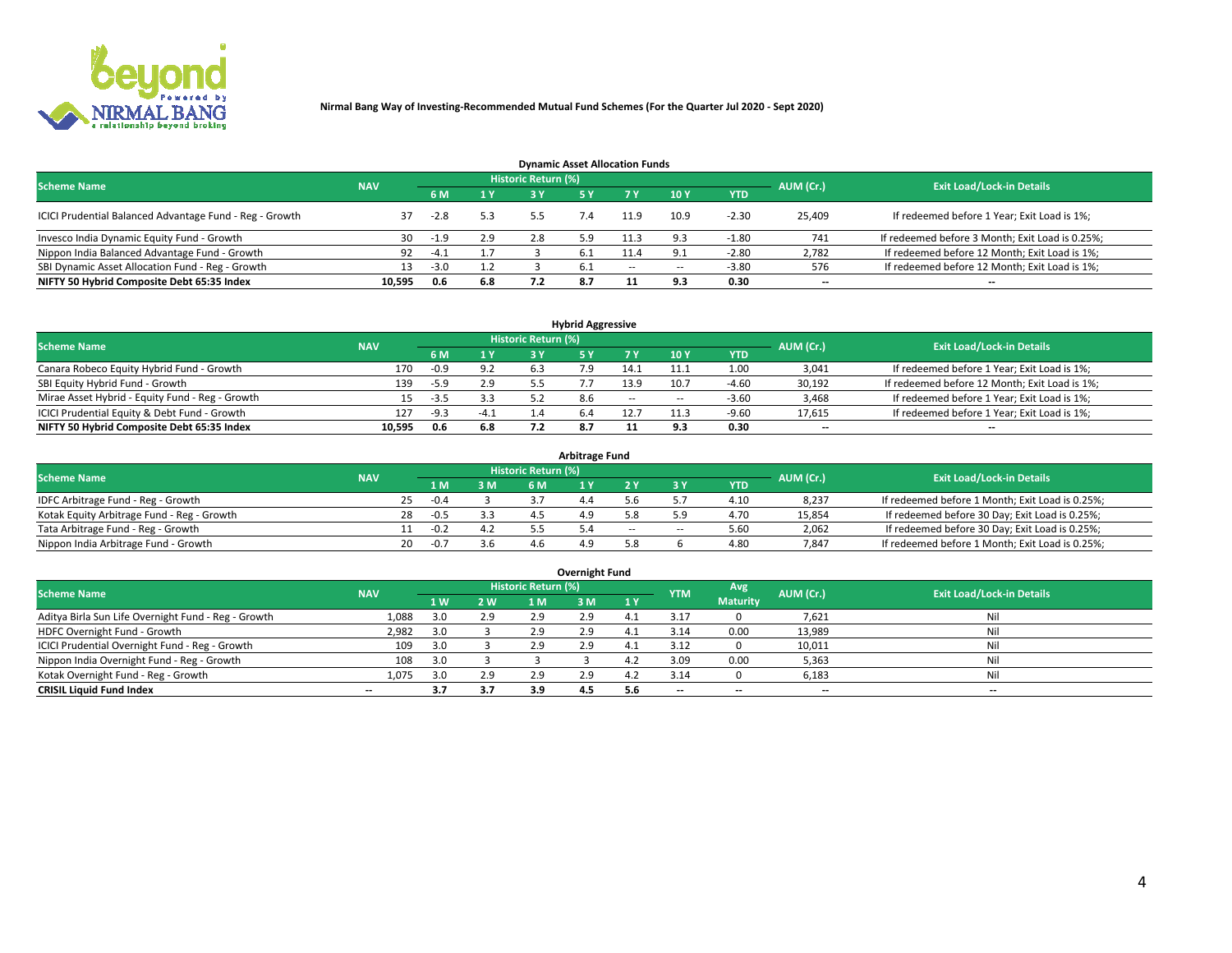

| <b>Dynamic Asset Allocation Funds</b>                   |            |        |                         |                     |     |        |                          |            |                          |                                                 |  |  |  |  |
|---------------------------------------------------------|------------|--------|-------------------------|---------------------|-----|--------|--------------------------|------------|--------------------------|-------------------------------------------------|--|--|--|--|
| <b>Scheme Name</b>                                      | <b>NAV</b> |        |                         | Historic Return (%) |     |        |                          |            | AUM (Cr.)                | <b>Exit Load/Lock-in Details</b>                |  |  |  |  |
|                                                         |            |        | $\mathbf{1} \mathbf{V}$ | 2 V                 |     |        | 10 Y                     | <b>YTD</b> |                          |                                                 |  |  |  |  |
| ICICI Prudential Balanced Advantage Fund - Reg - Growth |            | $-2.8$ | 5.3                     |                     |     | 11.9   | 10.9                     | $-2.30$    | 25,409                   | If redeemed before 1 Year; Exit Load is 1%;     |  |  |  |  |
| Invesco India Dynamic Equity Fund - Growth              | 30         | $-1.9$ | 2.9                     |                     | 5.9 | 11.3   |                          | $-1.80$    | 741                      | If redeemed before 3 Month; Exit Load is 0.25%; |  |  |  |  |
| Nippon India Balanced Advantage Fund - Growth           | 92         | $-4.1$ |                         |                     |     |        |                          | $-2.80$    | 2,782                    | If redeemed before 12 Month; Exit Load is 1%;   |  |  |  |  |
| SBI Dynamic Asset Allocation Fund - Reg - Growth        |            | $-3.0$ |                         |                     |     | $\sim$ | $\overline{\phantom{a}}$ | $-3.80$    | 576                      | If redeemed before 12 Month; Exit Load is 1%;   |  |  |  |  |
| NIFTY 50 Hybrid Composite Debt 65:35 Index              | 10,595     | 0.6    | 6.8                     |                     |     |        | 9.3                      | 0.30       | $\overline{\phantom{a}}$ | $- -$                                           |  |  |  |  |

| <b>Hybrid Aggressive</b>                        |            |        |            |                            |     |            |            |            |           |                                               |  |  |  |  |
|-------------------------------------------------|------------|--------|------------|----------------------------|-----|------------|------------|------------|-----------|-----------------------------------------------|--|--|--|--|
| <b>Scheme Name</b>                              | <b>NAV</b> |        |            | <b>Historic Return (%)</b> |     |            |            |            | AUM (Cr.) | <b>Exit Load/Lock-in Details</b>              |  |  |  |  |
|                                                 |            |        | <b>ALV</b> | 2 V                        |     |            | <b>10Y</b> | <b>YTD</b> |           |                                               |  |  |  |  |
| Canara Robeco Equity Hybrid Fund - Growth       | 170        | $-0.9$ |            | b.-                        |     |            |            | 1.00       | 3,041     | If redeemed before 1 Year; Exit Load is 1%;   |  |  |  |  |
| SBI Equity Hybrid Fund - Growth                 | 139        | $-5.9$ | 2.9        |                            |     | 13.9       | 10.7       | $-4.60$    | 30,192    | If redeemed before 12 Month; Exit Load is 1%; |  |  |  |  |
| Mirae Asset Hybrid - Equity Fund - Reg - Growth |            | $-3.5$ |            |                            | 8.6 | $\sim$ $-$ | $\sim$     | $-3.60$    | 3,468     | If redeemed before 1 Year; Exit Load is 1%;   |  |  |  |  |
| ICICI Prudential Equity & Debt Fund - Growth    | 127        | $-9.3$ | $-4.1$     |                            |     | 12.7       |            | $-9.60$    | 17,615    | If redeemed before 1 Year; Exit Load is 1%;   |  |  |  |  |
| NIFTY 50 Hybrid Composite Debt 65:35 Index      | 10.595     | 0.6    | 6.8        |                            |     |            |            | 0.30       | --        | $- -$                                         |  |  |  |  |

| <b>Arbitrage Fund</b>                      |            |    |        |     |                     |     |       |     |            |           |                                                 |  |  |  |
|--------------------------------------------|------------|----|--------|-----|---------------------|-----|-------|-----|------------|-----------|-------------------------------------------------|--|--|--|
| <b>Scheme Name</b>                         | <b>NAV</b> |    |        |     | Historic Return (%) |     |       |     |            | AUM (Cr.) | <b>Exit Load/Lock-in Details</b>                |  |  |  |
|                                            |            |    | 1 M.   | 3 M | 6 M                 |     |       |     | <b>YTD</b> |           |                                                 |  |  |  |
| IDFC Arbitrage Fund - Reg - Growth         |            | 25 | $-0.4$ |     |                     | 4.4 |       |     | 4.10       | 8,237     | If redeemed before 1 Month; Exit Load is 0.25%; |  |  |  |
| Kotak Equity Arbitrage Fund - Reg - Growth |            | 28 | $-0.5$ |     |                     |     |       |     | 4.70       | 15,854    | If redeemed before 30 Day; Exit Load is 0.25%;  |  |  |  |
| Tata Arbitrage Fund - Reg - Growth         |            |    | -0.2   |     |                     |     | $- -$ | $-$ | 5.60       | 2,062     | If redeemed before 30 Day; Exit Load is 0.25%;  |  |  |  |
| Nippon India Arbitrage Fund - Growth       |            | 20 | $-0.7$ |     | 1 h                 |     |       |     | 4.80       | 7,847     | If redeemed before 1 Month; Exit Load is 0.25%; |  |  |  |

| Overnight Fund                                      |            |     |     |                            |     |           |            |                 |                          |                                  |  |  |  |  |
|-----------------------------------------------------|------------|-----|-----|----------------------------|-----|-----------|------------|-----------------|--------------------------|----------------------------------|--|--|--|--|
| <b>Scheme Name</b>                                  | <b>NAV</b> |     |     | <b>Historic Return (%)</b> |     |           | <b>YTM</b> | Avg             | AUM (Cr.)                | <b>Exit Load/Lock-in Details</b> |  |  |  |  |
|                                                     |            | 1 W | 2 W | 1 M                        | 3 M | <b>1Y</b> |            | <b>Maturity</b> |                          |                                  |  |  |  |  |
| Aditya Birla Sun Life Overnight Fund - Reg - Growth | 1,088      | 3.0 | 2.9 | 2.9                        | 2.9 | 4         | 3.17       |                 | 7,621                    | Nil                              |  |  |  |  |
| HDFC Overnight Fund - Growth                        | 2,982      |     |     | 2.9                        | 2.9 |           | 3.14       | 0.00            | 13,989                   | Nil                              |  |  |  |  |
| ICICI Prudential Overnight Fund - Reg - Growth      | 109        |     |     | 2.9                        | 2.9 |           | 3.12       |                 | 10,011                   | Nil                              |  |  |  |  |
| Nippon India Overnight Fund - Reg - Growth          | 108        |     |     |                            |     |           | 3.09       | 0.00            | 5,363                    | Nil                              |  |  |  |  |
| Kotak Overnight Fund - Reg - Growth                 | 1,075      |     | 2.9 | 2.9                        | 2.9 | 4.Z       | 3.14       |                 | 6,183                    | Nil                              |  |  |  |  |
| <b>CRISIL Liquid Fund Index</b>                     | $- -$      | 3.7 | 3.7 | 3.9                        | 4.5 | 5.6       | --         | --              | $\overline{\phantom{a}}$ | --                               |  |  |  |  |

### **Overnight Fund**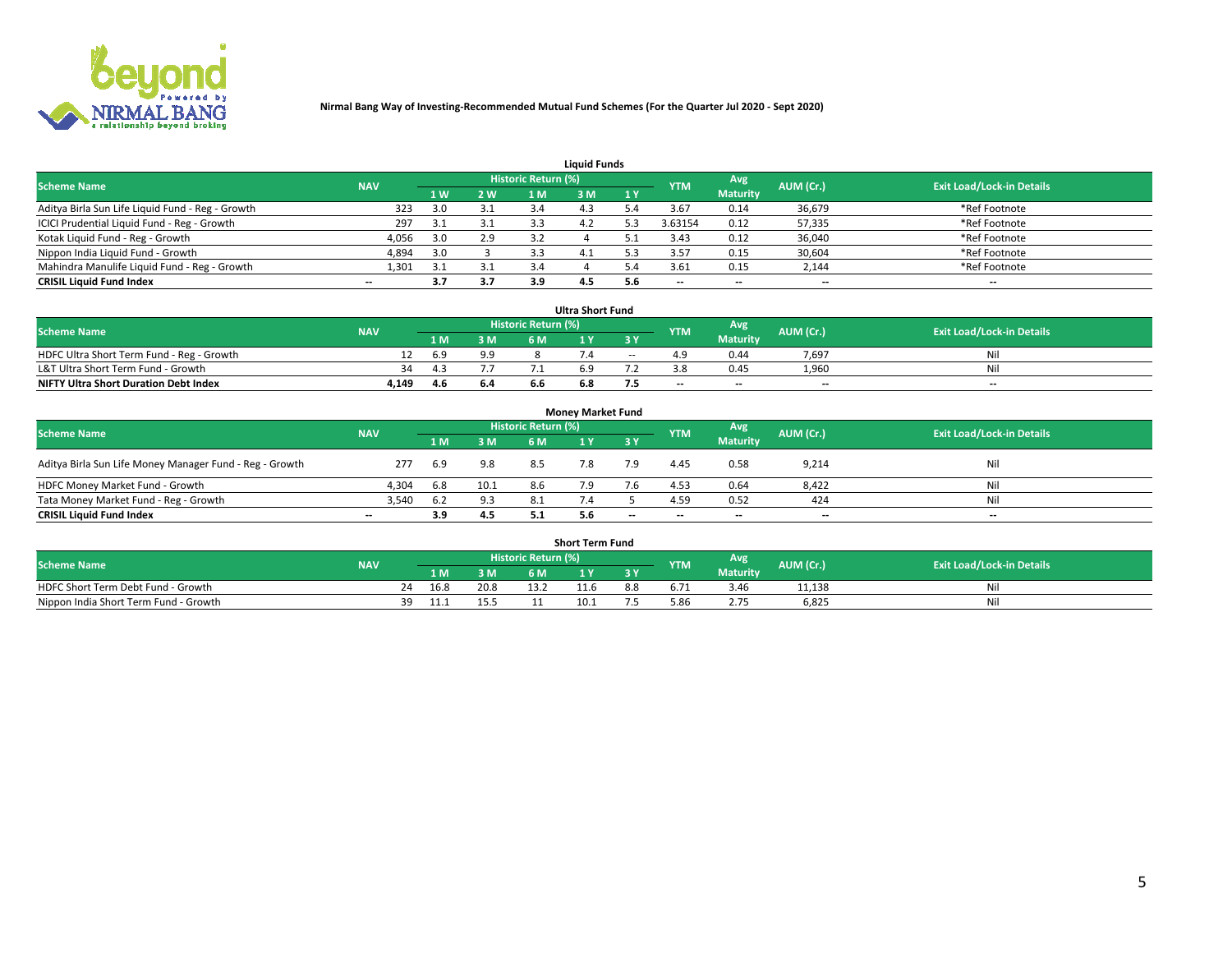

| <b>Liquid Funds</b>                              |            |     |     |                     |     |     |            |                 |           |                                  |  |  |  |  |
|--------------------------------------------------|------------|-----|-----|---------------------|-----|-----|------------|-----------------|-----------|----------------------------------|--|--|--|--|
| <b>Scheme Name</b>                               | <b>NAV</b> |     |     | Historic Return (%) |     |     | <b>YTM</b> | Avg             | AUM (Cr.) | <b>Exit Load/Lock-in Details</b> |  |  |  |  |
|                                                  |            | 1 W | 2 W | 1 M                 | M   | 1 Y |            | <b>Maturity</b> |           |                                  |  |  |  |  |
| Aditya Birla Sun Life Liquid Fund - Reg - Growth | 323        | 3.0 |     |                     |     |     | 3.67       | 0.14            | 36,679    | *Ref Footnote                    |  |  |  |  |
| ICICI Prudential Liquid Fund - Reg - Growth      | 297        | 3.1 | 3.1 | 3.3                 | 4.Z |     | 3.63154    | 0.12            | 57,335    | *Ref Footnote                    |  |  |  |  |
| Kotak Liquid Fund - Reg - Growth                 | 4,056      | 3.0 | 2.9 |                     |     |     | 3.43       | 0.12            | 36,040    | *Ref Footnote                    |  |  |  |  |
| Nippon India Liquid Fund - Growth                | 4,894      | 3.0 |     | 3.3                 | 4.1 |     | 3.57       | 0.15            | 30,604    | *Ref Footnote                    |  |  |  |  |
| Mahindra Manulife Liquid Fund - Reg - Growth     | 1,301      | 3.1 |     | 3.4                 |     |     | 3.61       | 0.15            | 2,144     | *Ref Footnote                    |  |  |  |  |
| <b>CRISIL Liquid Fund Index</b>                  | $- -$      | 3.7 | 3.7 | 3.9                 | 4.5 | 5.6 | --         | $- -$           | --        | $\overline{\phantom{a}}$         |  |  |  |  |

| <b>Ultra Short Fund</b>                      |            |      |     |                            |     |        |            |                 |                          |                                  |  |  |  |  |
|----------------------------------------------|------------|------|-----|----------------------------|-----|--------|------------|-----------------|--------------------------|----------------------------------|--|--|--|--|
| <b>Scheme Name</b>                           | <b>NAV</b> |      |     | <b>Historic Return (%)</b> |     |        | <b>YTM</b> | <b>Avg</b>      | AUM (Cr.)                | <b>Exit Load/Lock-in Details</b> |  |  |  |  |
|                                              |            | 1 M. | 3 M | 6 M                        |     | 3 Y    |            | <b>Maturity</b> |                          |                                  |  |  |  |  |
| HDFC Ultra Short Term Fund - Reg - Growth    |            | 6.9  | 9.9 |                            |     | $\sim$ |            | 0.44            | 7,697                    | Nil                              |  |  |  |  |
| L&T Ultra Short Term Fund - Growth           | 34         |      |     |                            |     |        |            | 0.45            | 1.960                    | Nil                              |  |  |  |  |
| <b>NIFTY Ultra Short Duration Debt Index</b> | 4,149      | 4.6  | 6.4 | b.b                        | b.ŏ |        | $-$        | $- -$           | $\overline{\phantom{a}}$ | $- -$                            |  |  |  |  |

| <b>Monev Market Fund</b>                                |            |     |      |                     |     |                          |            |                 |                          |                                  |  |  |  |  |
|---------------------------------------------------------|------------|-----|------|---------------------|-----|--------------------------|------------|-----------------|--------------------------|----------------------------------|--|--|--|--|
| <b>Scheme Name</b>                                      | <b>NAV</b> |     |      | Historic Return (%) |     |                          | <b>YTM</b> | Avg.            | AUM (Cr.)                | <b>Exit Load/Lock-in Details</b> |  |  |  |  |
|                                                         |            | 1 M | 3 M  | 6 M                 |     | 3 Y                      |            | <b>Maturity</b> |                          |                                  |  |  |  |  |
| Aditya Birla Sun Life Money Manager Fund - Reg - Growth | 277        | 6.9 | 9.8  | 8.5                 |     | 7.9                      | 4.45       | 0.58            | 9,214                    | Nil                              |  |  |  |  |
| HDFC Money Market Fund - Growth                         | 4.304      | 6.8 | 10.1 | 8.6                 |     |                          | 4.53       | 0.64            | 8,422                    | Nil                              |  |  |  |  |
| Tata Money Market Fund - Reg - Growth                   | 3,540      | 6.2 | 9.3  | 8.1                 |     |                          | 4.59       | 0.52            | 424                      | Nil                              |  |  |  |  |
| <b>CRISIL Liquid Fund Index</b>                         | $- -$      | 3.9 | 4.5  | 5.1                 | 5.6 | $\overline{\phantom{a}}$ | --         | $-$             | $\overline{\phantom{a}}$ | $\overline{\phantom{a}}$         |  |  |  |  |

|                                       |            |       |      |                     | <b>Short Term Fund</b> |     |      |                 |           |                                  |
|---------------------------------------|------------|-------|------|---------------------|------------------------|-----|------|-----------------|-----------|----------------------------------|
| <b>Scheme Name</b>                    | <b>NAV</b> |       |      | Historic Return (%) |                        |     | YTM  | Avg             | AUM (Cr.) | <b>Exit Load/Lock-in Details</b> |
|                                       |            | 1 M . | 3 M  | 6 M                 |                        | 2V  |      | <b>Maturity</b> |           |                                  |
| HDFC Short Term Debt Fund - Growth    |            | 16.8  | 20.8 |                     | 11.6                   | 8.8 |      | 3.46            | 11,138    | M                                |
| Nippon India Short Term Fund - Growth | 39         |       |      |                     | 10.1                   |     | 5.86 |                 | 6,825     | N                                |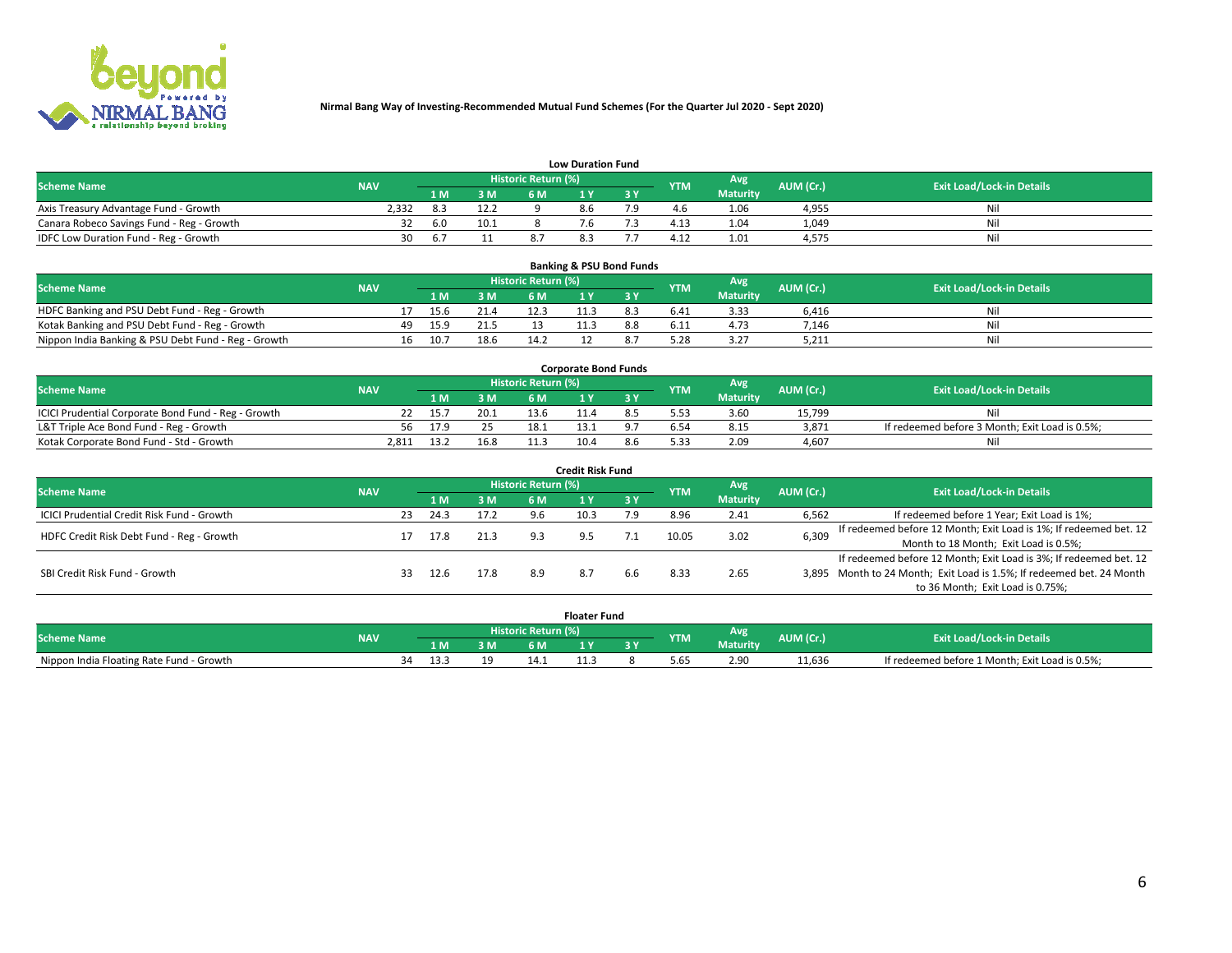

|                                           | <b>Low Duration Fund</b> |      |      |                            |     |  |            |                 |           |                                  |  |  |  |  |  |
|-------------------------------------------|--------------------------|------|------|----------------------------|-----|--|------------|-----------------|-----------|----------------------------------|--|--|--|--|--|
| <b>Scheme Name</b>                        | <b>NAV</b>               |      |      | <b>Historic Return (%)</b> |     |  | <b>YTM</b> | Avg             | AUM (Cr.) | <b>Exit Load/Lock-in Details</b> |  |  |  |  |  |
|                                           |                          | 1 M. | 3 M  |                            |     |  |            | <b>Maturity</b> |           |                                  |  |  |  |  |  |
| Axis Treasury Advantage Fund - Growth     | 2.332                    |      | 12.2 |                            |     |  |            | 1.06            | 4,955     | Nil                              |  |  |  |  |  |
| Canara Robeco Savings Fund - Reg - Growth |                          | 6.0  | 10.1 |                            |     |  |            | .04             | 1,049     | Nil                              |  |  |  |  |  |
| IDFC Low Duration Fund - Reg - Growth     | 30                       |      |      |                            | د.ه |  | 4.12       | 1.01            | 4,575     | Nil                              |  |  |  |  |  |

| <b>Banking &amp; PSU Bond Funds</b>                 |            |    |      |      |                            |      |  |            |                 |           |                                  |  |  |  |
|-----------------------------------------------------|------------|----|------|------|----------------------------|------|--|------------|-----------------|-----------|----------------------------------|--|--|--|
| <b>Scheme Name</b>                                  | <b>NAV</b> |    |      |      | <b>Historic Return (%)</b> |      |  | <b>YTM</b> | Avg             | AUM (Cr.) | <b>Exit Load/Lock-in Details</b> |  |  |  |
|                                                     |            |    |      | 3M   | 6 M                        |      |  |            | <b>Maturity</b> |           |                                  |  |  |  |
| HDFC Banking and PSU Debt Fund - Reg - Growth       |            |    | 15.6 | 21.4 | 12.3                       | 11.3 |  | 6.41       | 3.33            | 6.416     | Nil                              |  |  |  |
| Kotak Banking and PSU Debt Fund - Reg - Growth      |            | 49 | 15.9 | 21.5 |                            |      |  | 6.11       | 4.73            | 7.146     | Ni                               |  |  |  |
| Nippon India Banking & PSU Debt Fund - Reg - Growth |            | 16 | 10.7 | 18.6 | 14.2                       |      |  | 5.28       | 3.27            | 5,211     | Nil                              |  |  |  |

| <b>Corporate Bond Funds</b>                         |            |      |      |                            |      |  |            |          |           |                                                |  |  |  |  |
|-----------------------------------------------------|------------|------|------|----------------------------|------|--|------------|----------|-----------|------------------------------------------------|--|--|--|--|
| <b>Scheme Name</b>                                  | <b>NAV</b> |      |      | <b>Historic Return (%)</b> |      |  | <b>YTM</b> | Avg      | AUM (Cr.) | <b>Exit Load/Lock-in Details</b>               |  |  |  |  |
|                                                     |            |      | 3 M  | 6 M                        |      |  |            | Maturity |           |                                                |  |  |  |  |
| ICICI Prudential Corporate Bond Fund - Reg - Growth |            | 15.7 | 20.1 | 13.6                       |      |  |            | 3.60     | 15.799    | Nil                                            |  |  |  |  |
| L&T Triple Ace Bond Fund - Reg - Growth             | 56         | 17.9 |      | 18.1                       |      |  |            | 8.15     | 3,871     | If redeemed before 3 Month; Exit Load is 0.5%; |  |  |  |  |
| Kotak Corporate Bond Fund - Std - Growth            | 2.811      | 13.2 | 16.8 | 11 :                       | 10.4 |  | 5.33       | 2.09     | 4.607     | Nil                                            |  |  |  |  |

| <b>Credit Risk Fund</b>                    |            |     |      |      |                     |      |           |            |            |           |                                                                       |  |  |
|--------------------------------------------|------------|-----|------|------|---------------------|------|-----------|------------|------------|-----------|-----------------------------------------------------------------------|--|--|
| <b>Scheme Name</b>                         | <b>NAV</b> |     |      |      | Historic Return (%) |      |           | <b>YTM</b> | <b>Avg</b> | AUM (Cr.) | <b>Exit Load/Lock-in Details</b>                                      |  |  |
|                                            |            |     | 1 M  | 3 M  | 6 M                 |      | <b>3Y</b> |            | Maturity   |           |                                                                       |  |  |
| ICICI Prudential Credit Risk Fund - Growth |            | 23  | 24.3 | 17.2 | 9.6                 | 10.3 | و.י       | 8.96       | 2.41       | 6,562     | If redeemed before 1 Year; Exit Load is 1%;                           |  |  |
| HDFC Credit Risk Debt Fund - Reg - Growth  |            |     | 17.8 | 21.3 | 9.3                 |      |           | 10.05      | 3.02       | 6,309     | If redeemed before 12 Month; Exit Load is 1%; If redeemed bet. 12     |  |  |
|                                            |            |     |      |      |                     |      |           |            |            |           | Month to 18 Month; Exit Load is 0.5%;                                 |  |  |
|                                            |            |     |      |      |                     |      |           |            |            |           | If redeemed before 12 Month; Exit Load is 3%; If redeemed bet. 12     |  |  |
| SBI Credit Risk Fund - Growth              |            | 33. | 12.6 | 17.8 | 8.9                 | 8.7  | 6.6       | 8.33       | 2.65       |           | 3,895 Month to 24 Month; Exit Load is 1.5%; If redeemed bet. 24 Month |  |  |
|                                            |            |     |      |      |                     |      |           |            |            |           | to 36 Month; Exit Load is 0.75%;                                      |  |  |

| <b>Floater Fund</b>                      |            |  |     |     |                     |  |     |      |                        |           |                                                |
|------------------------------------------|------------|--|-----|-----|---------------------|--|-----|------|------------------------|-----------|------------------------------------------------|
| <b>Scheme Name</b>                       | <b>NAV</b> |  |     |     | Historic Return (%) |  |     | YTM  | Avg<br><b>Maturity</b> | AUM (Cr.) | <b>Exit Load/Lock-in Details</b>               |
|                                          |            |  | l M | B M | 6 M                 |  | n v |      |                        |           |                                                |
| Nippon India Floating Rate Fund - Growth |            |  |     |     | 14.1                |  |     | 5.65 | 2.90                   | 11,636    | If redeemed before 1 Month; Exit Load is 0.5%; |